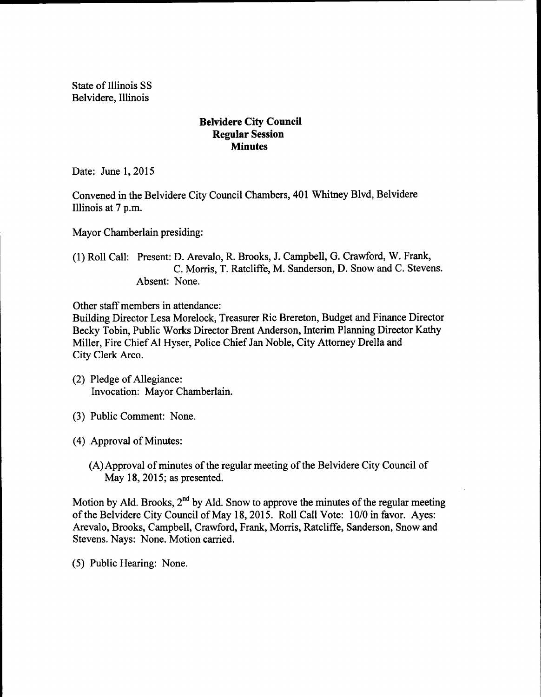State of Illinois SS Belvidere, Illinois

## Belvidere City Council Regular Session **Minutes**

Date: June 1, 2015

Convened in the Belvidere City Council Chambers, 401 Whitney Blvd, Belvidere Illinois at 7 p.m.

Mayor Chamberlain presiding:

1) Roll Call: Present: D. Arevalo, R. Brooks, J. Campbell, G. Crawford, W. Frank, C. Morris, T. Ratcliffe, M. Sanderson, D. Snow and C. Stevens. Absent: None.

Other staff members in attendance:

Building Director Lesa Morelock, Treasurer Ric Brereton, Budget and Finance Director Becky Tobin, Public Works Director Brent Anderson, Interim Planning Director Kathy Miller, Fire Chief Al Hyser, Police Chief Jan Noble, City Attorney Drella and City Clerk Arco.

- 2) Pledge of Allegiance: Invocation: Mayor Chamberlain.
- 3) Public Comment: None.
- (4) Approval of Minutes:
	- (A) Approval of minutes of the regular meeting of the Belvidere City Council of May 18, 2015; as presented.

Motion by Ald. Brooks, 2<sup>nd</sup> by Ald. Snow to approve the minutes of the regular meeting of the Belvidere City Council of May 18, 2015. Roll Call Vote: 10/0 in favor. Ayes: Arevalo, Brooks, Campbell, Crawford, Frank, Morris, Ratcliffe, Sanderson, Snow and Stevens. Nays: None. Motion carried.

5) Public Hearing: None.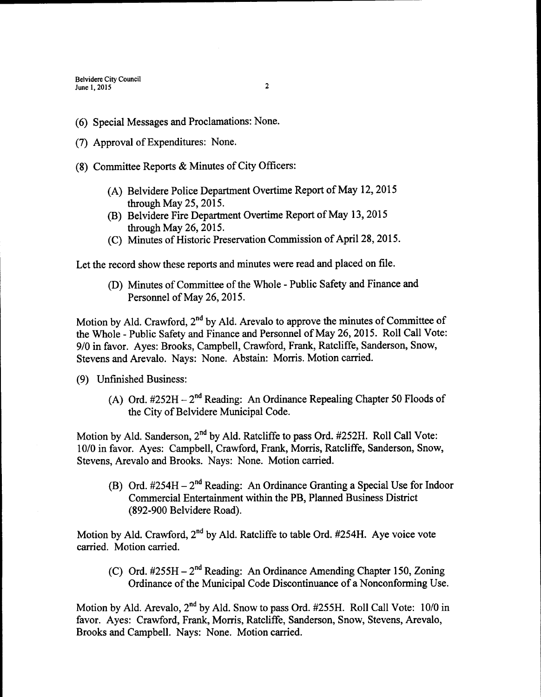Belvidere City Council June 1, 2015 2

- 6) Special Messages and Proclamations: None.
- (7) Approval of Expenditures: None.
- 8) Committee Reports & Minutes of City Officers:
	- A) Belvidere Police Department Overtime Report of May 12, 2015 through May 25, 2015.
	- B) Belvidere Fire Department Overtime Report of May 13, 2015 through May 26, 2015.
	- (C) Minutes of Historic Preservation Commission of April 28, 2015.

Let the record show these reports and minutes were read and placed on file.

(D) Minutes of Committee of the Whole - Public Safety and Finance and Personnel of May 26, 2015.

Motion by Ald. Crawford,  $2<sup>nd</sup>$  by Ald. Arevalo to approve the minutes of Committee of the Whole - Public Safety and Finance and Personnel of May 26, 2015. Roll Call Vote: 9/0 in favor. Ayes: Brooks, Campbell, Crawford, Frank, Ratcliffe, Sanderson, Snow, Stevens and Arevalo. Nays: None. Abstain: Morris. Motion carried.

- 9) Unfinished Business:
	- A) Ord.  $\#252H 2^{nd}$  Reading: An Ordinance Repealing Chapter 50 Floods of the City of Belvidere Municipal Code.

Motion by Ald. Sanderson, 2<sup>nd</sup> by Ald. Ratcliffe to pass Ord. #252H. Roll Call Vote: 10/0 in favor. Ayes: Campbell, Crawford, Frank, Morris, Ratcliffe, Sanderson, Snow, Stevens, Arevalo and Brooks. Nays: None. Motion carried.

B) Ord. #254H – 2<sup>nd</sup> Reading: An Ordinance Granting a Special Use for Indoor Commercial Entertainment within the PB, Planned Business District 892- 900 Belvidere Road).

Motion by Ald. Crawford, 2<sup>nd</sup> by Ald. Ratcliffe to table Ord. #254H. Aye voice vote carried. Motion carried.

C) Ord.  $\#255H - 2^{nd}$  Reading: An Ordinance Amending Chapter 150, Zoning Ordinance of the Municipal Code Discontinuance of a Nonconforming Use.

Motion by Ald. Arevalo,  $2^{nd}$  by Ald. Snow to pass Ord. #255H. Roll Call Vote: 10/0 in favor. Ayes: Crawford, Frank, Morris, Ratcliffe, Sanderson, Snow, Stevens, Arevalo, Brooks and Campbell. Nays: None. Motion carried.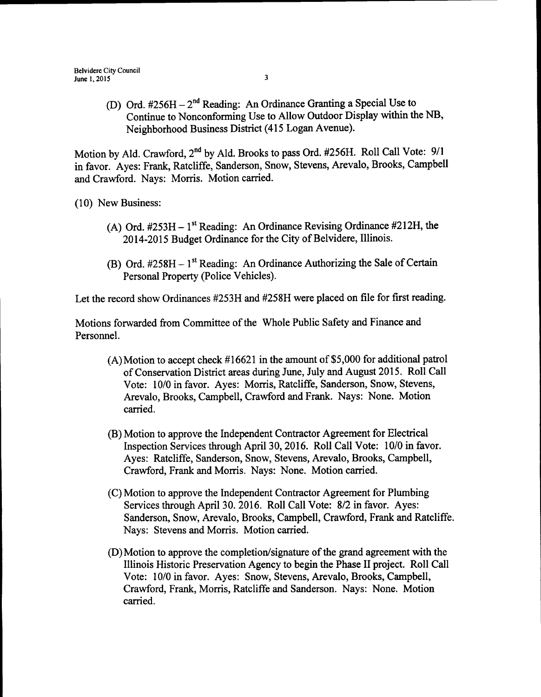D) Ord. #256H - 2<sup>nd</sup> Reading: An Ordinance Granting a Special Use to Continue to Nonconforming Use to Allow Outdoor Display within the NB, Neighborhood Business District( 415 Logan Avenue).

Motion by Ald. Crawford, 2<sup>nd</sup> by Ald. Brooks to pass Ord. #256H. Roll Call Vote: 9/1 in favor. Ayes: Frank, Ratcliffe, Sanderson, Snow, Stevens, Arevalo, Brooks, Campbell and Crawford. Nays: Morris. Motion carried.

10) New Business:

- (A) Ord.  $#253H 1$ <sup>st</sup> Reading: An Ordinance Revising Ordinance  $#212H$ , the 2014-2015 Budget Ordinance for the City of Belvidere, Illinois.
- (B) Ord.  $#258H 1^{st}$  Reading: An Ordinance Authorizing the Sale of Certain Personal Property (Police Vehicles).

Let the record show Ordinances #253H and #258H were placed on file for first reading.

Motions forwarded from Committee of the Whole Public Safety and Finance and Personnel.

- $(A)$  Motion to accept check #16621 in the amount of \$5,000 for additional patrol of Conservation District areas during June, July and August 2015. Roll Call Vote: 10/0 in favor. Ayes: Morris, Ratcliffe, Sanderson, Snow, Stevens, Arevalo, Brooks, Campbell, Crawford and Frank. Nays: None. Motion carried.
- B) Motion to approve the Independent Contractor Agreement for Electrical Inspection Services through April 30, 2016. Roll Call Vote: 10/0 in favor. Ayes: Ratcliffe, Sanderson, Snow, Stevens, Arevalo, Brooks, Campbell, Crawford, Frank and Morris. Nays: None. Motion carried.
- C) Motion to approve the Independent Contractor Agreement for Plumbing Services through April 30. 2016. Roll Call Vote: 8/2 in favor. Ayes: Sanderson, Snow, Arevalo, Brooks, Campbell, Crawford, Frank and Ratcliffe. Nays: Stevens and Morris. Motion carried.
- (D) Motion to approve the completion/signature of the grand agreement with the Illinois Historic Preservation Agency to begin the Phase II project. Roll Call Vote: 10/0 in favor. Ayes: Snow, Stevens, Arevalo, Brooks, Campbell, Crawford, Frank, Morris, Ratcliffe and Sanderson. Nays: None. Motion carried.